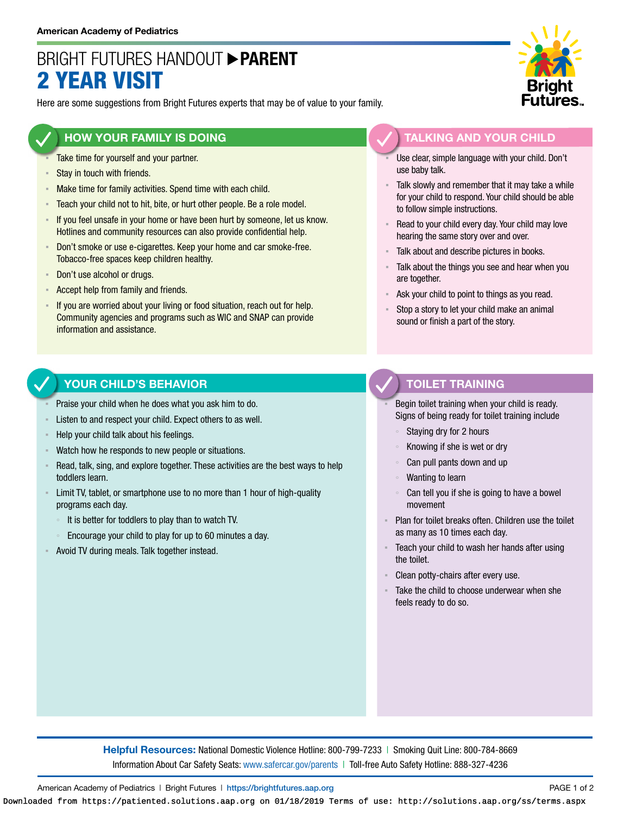# BRIGHT FUTURES HANDOUT **PARENT** 2 YEAR VISIT

Here are some suggestions from Bright Futures experts that may be of value to your family.

### **HOW YOUR FAMILY IS DOING**

- Take time for yourself and your partner.
- Stay in touch with friends.
- **EXED Make time for family activities. Spend time with each child.**
- **EXECO** F Teach your child not to hit, bite, or hurt other people. Be a role model.
- If you feel unsafe in your home or have been hurt by someone, let us know. Hotlines and community resources can also provide confidential help.
- Don't smoke or use e-cigarettes. Keep your home and car smoke-free. Tobacco-free spaces keep children healthy.
- Don't use alcohol or drugs.
- Accept help from family and friends.
- **EXT** If you are worried about your living or food situation, reach out for help. Community agencies and programs such as WIC and SNAP can provide information and assistance.

### **YOUR CHILD'S BEHAVIOR**

- Praise your child when he does what you ask him to do.
- Listen to and respect your child. Expect others to as well.
- Help your child talk about his feelings.
- Watch how he responds to new people or situations.
- Read, talk, sing, and explore together. These activities are the best ways to help toddlers learn.
- **EXECT** Limit TV, tablet, or smartphone use to no more than 1 hour of high-quality programs each day.
	- It is better for toddlers to play than to watch TV.
	- Encourage your child to play for up to 60 minutes a day.
- Avoid TV during meals. Talk together instead.



# **TALKING AND YOUR CHILD**

- Use clear, simple language with your child. Don't use baby talk.
- Talk slowly and remember that it may take a while for your child to respond. Your child should be able to follow simple instructions.
- Read to your child every day. Your child may love hearing the same story over and over.
- Talk about and describe pictures in books.
- Talk about the things you see and hear when you are together.
- Ask your child to point to things as you read.
- Stop a story to let your child make an animal sound or finish a part of the story.

### **TOILET TRAINING**

Begin toilet training when your child is ready. Signs of being ready for toilet training include

- Staying dry for 2 hours
- Knowing if she is wet or dry
- Can pull pants down and up
- Wanting to learn
- Can tell you if she is going to have a bowel movement
- Plan for toilet breaks often. Children use the toilet as many as 10 times each day.
- Teach your child to wash her hands after using the toilet.
- Clean potty-chairs after every use.
- Take the child to choose underwear when she feels ready to do so.

**Helpful Resources:** National Domestic Violence Hotline: 800-799-7233 | Smoking Quit Line: 800-784-8669 Information About Car Safety Seats: [www.safercar.gov/parents](https://www.nhtsa.gov/parents-and-caregivers) | Toll-free Auto Safety Hotline: 888-327-4236

American Academy of Pediatrics | Bright Futures | https://[brightfutures.aap.org](https://brightfutures.aap.org/Pages/default.aspx) PAGE 1 of 2

Downloaded from https://patiented.solutions.aap.org on 01/18/2019 Terms of use: http://solutions.aap.org/ss/terms.aspx